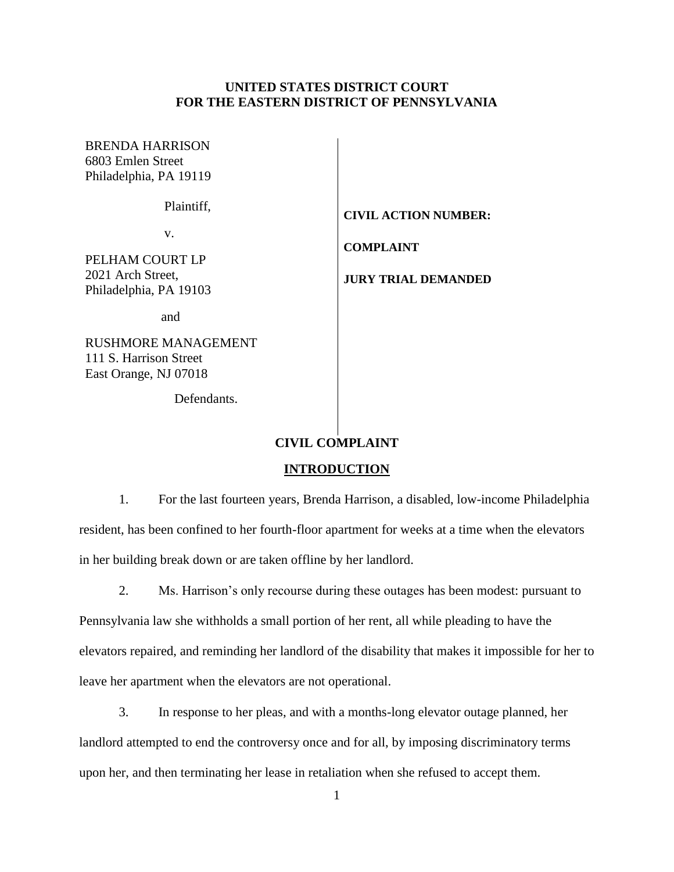## **UNITED STATES DISTRICT COURT FOR THE EASTERN DISTRICT OF PENNSYLVANIA**

| <b>BRENDA HARRISON</b><br>6803 Emlen Street<br>Philadelphia, PA 19119  |                                                |
|------------------------------------------------------------------------|------------------------------------------------|
| Plaintiff,                                                             | <b>CIVIL ACTION NUMBER:</b>                    |
| V.<br>PELHAM COURT LP<br>2021 Arch Street,<br>Philadelphia, PA 19103   | <b>COMPLAINT</b><br><b>JURY TRIAL DEMANDED</b> |
| and                                                                    |                                                |
| RUSHMORE MANAGEMENT<br>111 S. Harrison Street<br>East Orange, NJ 07018 |                                                |

Defendants.

## **CIVIL COMPLAINT**

#### **INTRODUCTION**

1. For the last fourteen years, Brenda Harrison, a disabled, low-income Philadelphia resident, has been confined to her fourth-floor apartment for weeks at a time when the elevators in her building break down or are taken offline by her landlord.

2. Ms. Harrison's only recourse during these outages has been modest: pursuant to Pennsylvania law she withholds a small portion of her rent, all while pleading to have the elevators repaired, and reminding her landlord of the disability that makes it impossible for her to leave her apartment when the elevators are not operational.

3. In response to her pleas, and with a months-long elevator outage planned, her landlord attempted to end the controversy once and for all, by imposing discriminatory terms upon her, and then terminating her lease in retaliation when she refused to accept them.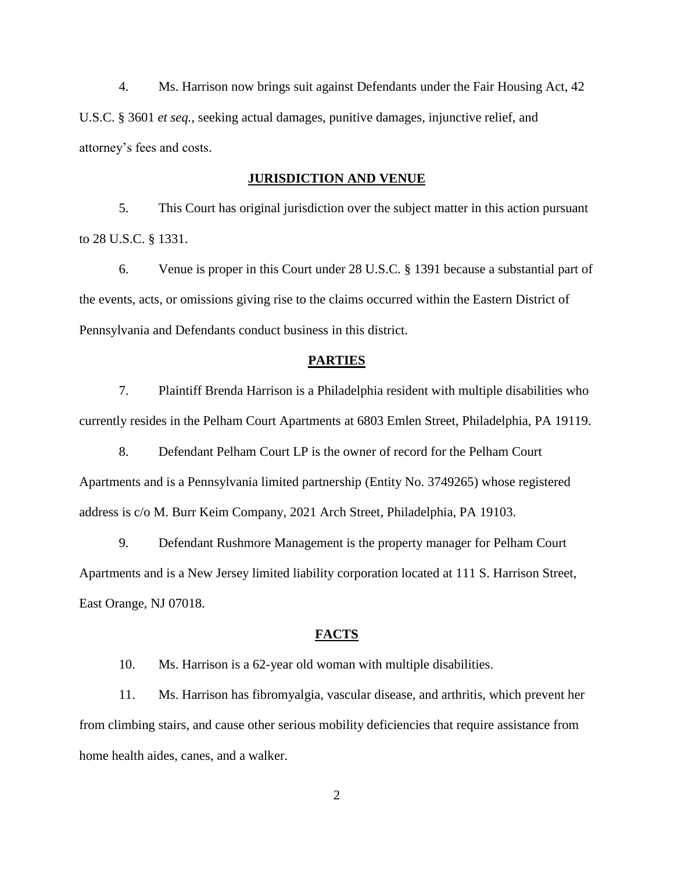4. Ms. Harrison now brings suit against Defendants under the Fair Housing Act, 42 U.S.C. § 3601 *et seq.*, seeking actual damages, punitive damages, injunctive relief, and attorney's fees and costs.

### **JURISDICTION AND VENUE**

5. This Court has original jurisdiction over the subject matter in this action pursuant to 28 U.S.C. § 1331.

6. Venue is proper in this Court under 28 U.S.C. § 1391 because a substantial part of the events, acts, or omissions giving rise to the claims occurred within the Eastern District of Pennsylvania and Defendants conduct business in this district.

#### **PARTIES**

7. Plaintiff Brenda Harrison is a Philadelphia resident with multiple disabilities who currently resides in the Pelham Court Apartments at 6803 Emlen Street, Philadelphia, PA 19119.

8. Defendant Pelham Court LP is the owner of record for the Pelham Court Apartments and is a Pennsylvania limited partnership (Entity No. 3749265) whose registered address is c/o M. Burr Keim Company, 2021 Arch Street, Philadelphia, PA 19103.

9. Defendant Rushmore Management is the property manager for Pelham Court Apartments and is a New Jersey limited liability corporation located at 111 S. Harrison Street, East Orange, NJ 07018.

#### **FACTS**

10. Ms. Harrison is a 62-year old woman with multiple disabilities.

11. Ms. Harrison has fibromyalgia, vascular disease, and arthritis, which prevent her from climbing stairs, and cause other serious mobility deficiencies that require assistance from home health aides, canes, and a walker.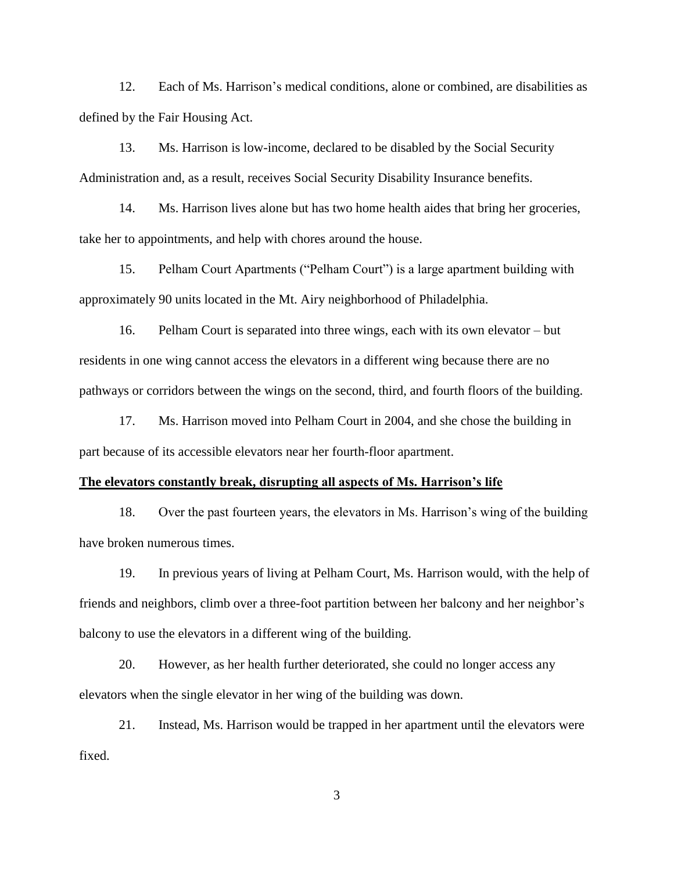12. Each of Ms. Harrison's medical conditions, alone or combined, are disabilities as defined by the Fair Housing Act.

13. Ms. Harrison is low-income, declared to be disabled by the Social Security Administration and, as a result, receives Social Security Disability Insurance benefits.

14. Ms. Harrison lives alone but has two home health aides that bring her groceries, take her to appointments, and help with chores around the house.

15. Pelham Court Apartments ("Pelham Court") is a large apartment building with approximately 90 units located in the Mt. Airy neighborhood of Philadelphia.

16. Pelham Court is separated into three wings, each with its own elevator – but residents in one wing cannot access the elevators in a different wing because there are no pathways or corridors between the wings on the second, third, and fourth floors of the building.

17. Ms. Harrison moved into Pelham Court in 2004, and she chose the building in part because of its accessible elevators near her fourth-floor apartment.

#### **The elevators constantly break, disrupting all aspects of Ms. Harrison's life**

18. Over the past fourteen years, the elevators in Ms. Harrison's wing of the building have broken numerous times.

19. In previous years of living at Pelham Court, Ms. Harrison would, with the help of friends and neighbors, climb over a three-foot partition between her balcony and her neighbor's balcony to use the elevators in a different wing of the building.

20. However, as her health further deteriorated, she could no longer access any elevators when the single elevator in her wing of the building was down.

21. Instead, Ms. Harrison would be trapped in her apartment until the elevators were fixed.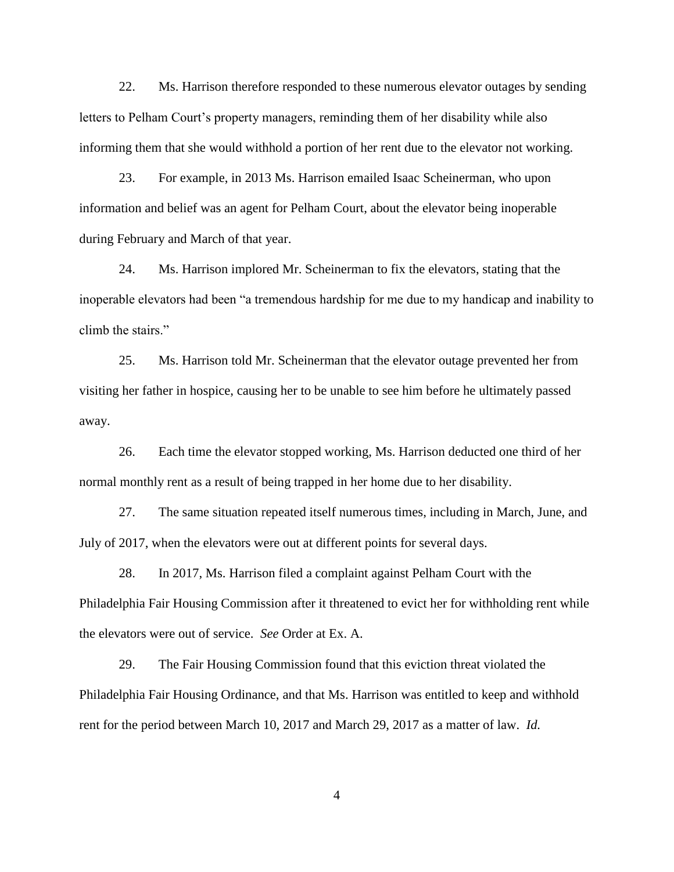22. Ms. Harrison therefore responded to these numerous elevator outages by sending letters to Pelham Court's property managers, reminding them of her disability while also informing them that she would withhold a portion of her rent due to the elevator not working.

23. For example, in 2013 Ms. Harrison emailed Isaac Scheinerman, who upon information and belief was an agent for Pelham Court, about the elevator being inoperable during February and March of that year.

24. Ms. Harrison implored Mr. Scheinerman to fix the elevators, stating that the inoperable elevators had been "a tremendous hardship for me due to my handicap and inability to climb the stairs."

25. Ms. Harrison told Mr. Scheinerman that the elevator outage prevented her from visiting her father in hospice, causing her to be unable to see him before he ultimately passed away.

26. Each time the elevator stopped working, Ms. Harrison deducted one third of her normal monthly rent as a result of being trapped in her home due to her disability.

27. The same situation repeated itself numerous times, including in March, June, and July of 2017, when the elevators were out at different points for several days.

28. In 2017, Ms. Harrison filed a complaint against Pelham Court with the Philadelphia Fair Housing Commission after it threatened to evict her for withholding rent while the elevators were out of service. *See* Order at Ex. A.

29. The Fair Housing Commission found that this eviction threat violated the Philadelphia Fair Housing Ordinance, and that Ms. Harrison was entitled to keep and withhold rent for the period between March 10, 2017 and March 29, 2017 as a matter of law. *Id.*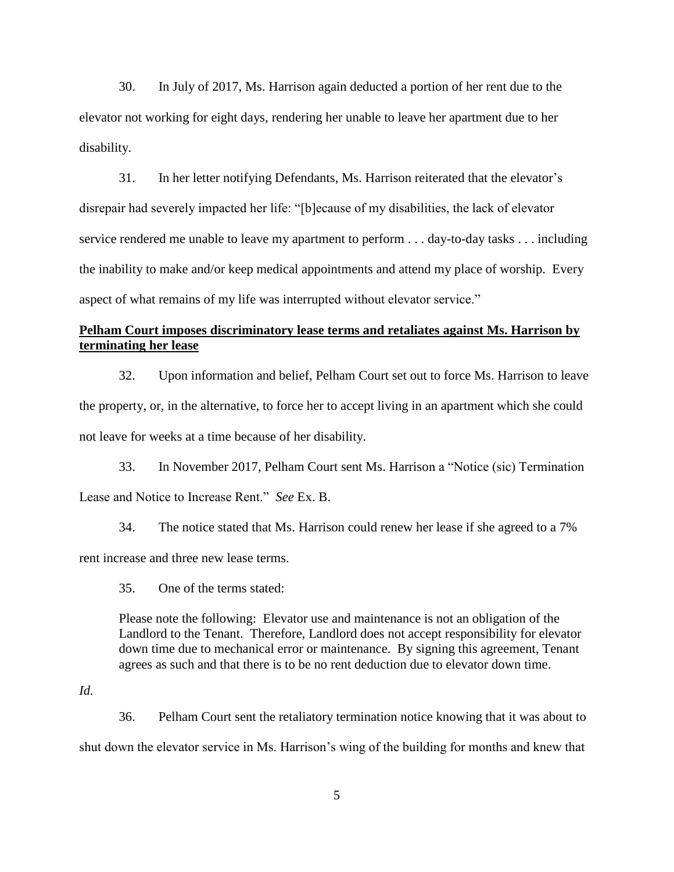30. In July of 2017, Ms. Harrison again deducted a portion of her rent due to the elevator not working for eight days, rendering her unable to leave her apartment due to her disability.

31. In her letter notifying Defendants, Ms. Harrison reiterated that the elevator's disrepair had severely impacted her life: "[b]ecause of my disabilities, the lack of elevator service rendered me unable to leave my apartment to perform . . . day-to-day tasks . . . including the inability to make and/or keep medical appointments and attend my place of worship. Every aspect of what remains of my life was interrupted without elevator service."

# **Pelham Court imposes discriminatory lease terms and retaliates against Ms. Harrison by terminating her lease**

32. Upon information and belief, Pelham Court set out to force Ms. Harrison to leave the property, or, in the alternative, to force her to accept living in an apartment which she could not leave for weeks at a time because of her disability.

33. In November 2017, Pelham Court sent Ms. Harrison a "Notice (sic) Termination Lease and Notice to Increase Rent." *See* Ex. B.

34. The notice stated that Ms. Harrison could renew her lease if she agreed to a 7% rent increase and three new lease terms.

35. One of the terms stated:

Please note the following: Elevator use and maintenance is not an obligation of the Landlord to the Tenant. Therefore, Landlord does not accept responsibility for elevator down time due to mechanical error or maintenance. By signing this agreement, Tenant agrees as such and that there is to be no rent deduction due to elevator down time.

*Id.*

36. Pelham Court sent the retaliatory termination notice knowing that it was about to shut down the elevator service in Ms. Harrison's wing of the building for months and knew that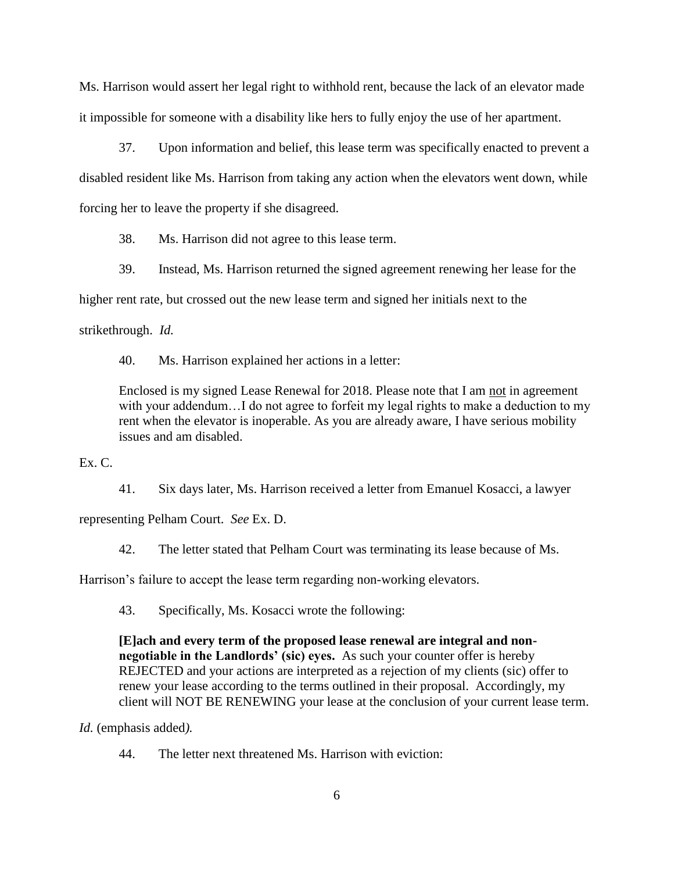Ms. Harrison would assert her legal right to withhold rent, because the lack of an elevator made it impossible for someone with a disability like hers to fully enjoy the use of her apartment.

37. Upon information and belief, this lease term was specifically enacted to prevent a disabled resident like Ms. Harrison from taking any action when the elevators went down, while forcing her to leave the property if she disagreed.

38. Ms. Harrison did not agree to this lease term.

39. Instead, Ms. Harrison returned the signed agreement renewing her lease for the higher rent rate, but crossed out the new lease term and signed her initials next to the strikethrough. *Id.*

40. Ms. Harrison explained her actions in a letter:

Enclosed is my signed Lease Renewal for 2018. Please note that I am not in agreement with your addendum...I do not agree to forfeit my legal rights to make a deduction to my rent when the elevator is inoperable. As you are already aware, I have serious mobility issues and am disabled.

## Ex. C.

41. Six days later, Ms. Harrison received a letter from Emanuel Kosacci, a lawyer representing Pelham Court. *See* Ex. D.

42. The letter stated that Pelham Court was terminating its lease because of Ms.

Harrison's failure to accept the lease term regarding non-working elevators.

43. Specifically, Ms. Kosacci wrote the following:

**[E]ach and every term of the proposed lease renewal are integral and nonnegotiable in the Landlords' (sic) eyes.** As such your counter offer is hereby REJECTED and your actions are interpreted as a rejection of my clients (sic) offer to renew your lease according to the terms outlined in their proposal. Accordingly, my client will NOT BE RENEWING your lease at the conclusion of your current lease term.

*Id.* (emphasis added*).*

44. The letter next threatened Ms. Harrison with eviction: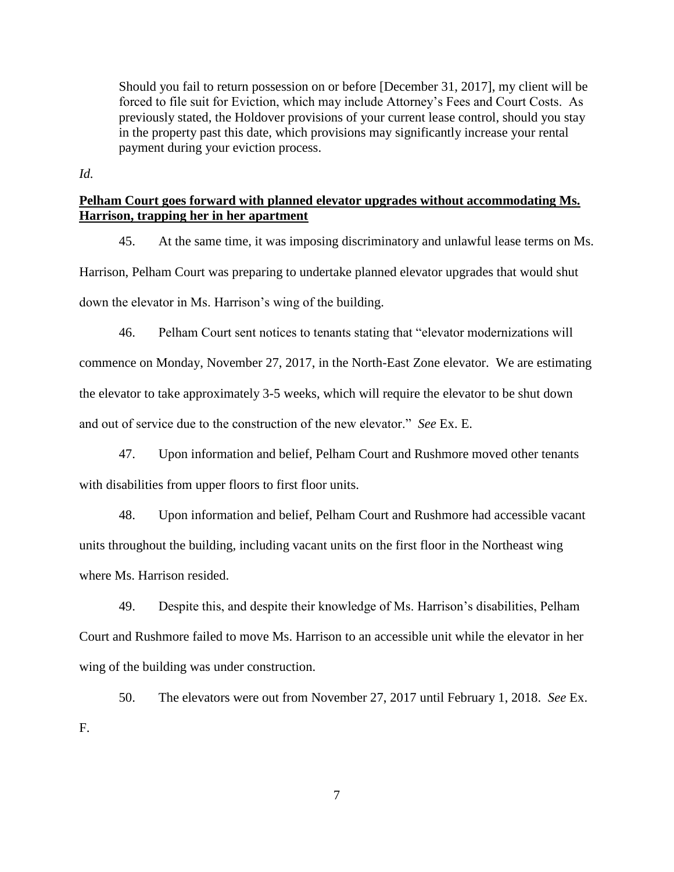Should you fail to return possession on or before [December 31, 2017], my client will be forced to file suit for Eviction, which may include Attorney's Fees and Court Costs. As previously stated, the Holdover provisions of your current lease control, should you stay in the property past this date, which provisions may significantly increase your rental payment during your eviction process.

*Id.*

## **Pelham Court goes forward with planned elevator upgrades without accommodating Ms. Harrison, trapping her in her apartment**

45. At the same time, it was imposing discriminatory and unlawful lease terms on Ms.

Harrison, Pelham Court was preparing to undertake planned elevator upgrades that would shut down the elevator in Ms. Harrison's wing of the building.

46. Pelham Court sent notices to tenants stating that "elevator modernizations will commence on Monday, November 27, 2017, in the North-East Zone elevator. We are estimating the elevator to take approximately 3-5 weeks, which will require the elevator to be shut down and out of service due to the construction of the new elevator." *See* Ex. E.

47. Upon information and belief, Pelham Court and Rushmore moved other tenants with disabilities from upper floors to first floor units.

48. Upon information and belief, Pelham Court and Rushmore had accessible vacant units throughout the building, including vacant units on the first floor in the Northeast wing where Ms. Harrison resided.

49. Despite this, and despite their knowledge of Ms. Harrison's disabilities, Pelham Court and Rushmore failed to move Ms. Harrison to an accessible unit while the elevator in her wing of the building was under construction.

50. The elevators were out from November 27, 2017 until February 1, 2018. *See* Ex. F.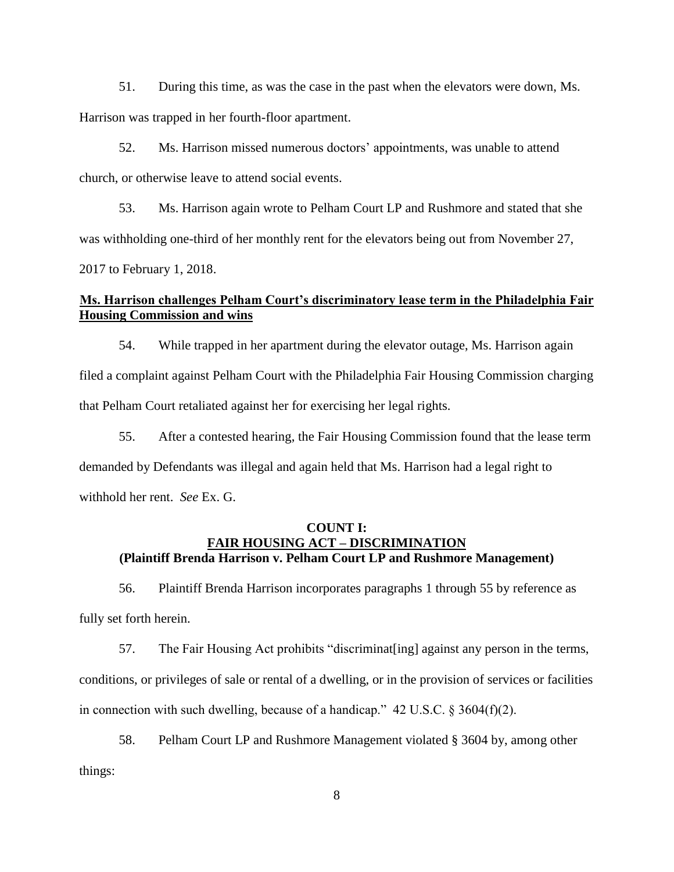51. During this time, as was the case in the past when the elevators were down, Ms. Harrison was trapped in her fourth-floor apartment.

52. Ms. Harrison missed numerous doctors' appointments, was unable to attend church, or otherwise leave to attend social events.

53. Ms. Harrison again wrote to Pelham Court LP and Rushmore and stated that she was withholding one-third of her monthly rent for the elevators being out from November 27, 2017 to February 1, 2018.

## **Ms. Harrison challenges Pelham Court's discriminatory lease term in the Philadelphia Fair Housing Commission and wins**

54. While trapped in her apartment during the elevator outage, Ms. Harrison again filed a complaint against Pelham Court with the Philadelphia Fair Housing Commission charging that Pelham Court retaliated against her for exercising her legal rights.

55. After a contested hearing, the Fair Housing Commission found that the lease term demanded by Defendants was illegal and again held that Ms. Harrison had a legal right to withhold her rent. *See* Ex. G.

## **COUNT I: FAIR HOUSING ACT – DISCRIMINATION (Plaintiff Brenda Harrison v. Pelham Court LP and Rushmore Management)**

56. Plaintiff Brenda Harrison incorporates paragraphs 1 through 55 by reference as fully set forth herein.

57. The Fair Housing Act prohibits "discriminat[ing] against any person in the terms, conditions, or privileges of sale or rental of a dwelling, or in the provision of services or facilities in connection with such dwelling, because of a handicap."  $42 \text{ U.S.C. }$  § 3604(f)(2).

58. Pelham Court LP and Rushmore Management violated § 3604 by, among other things: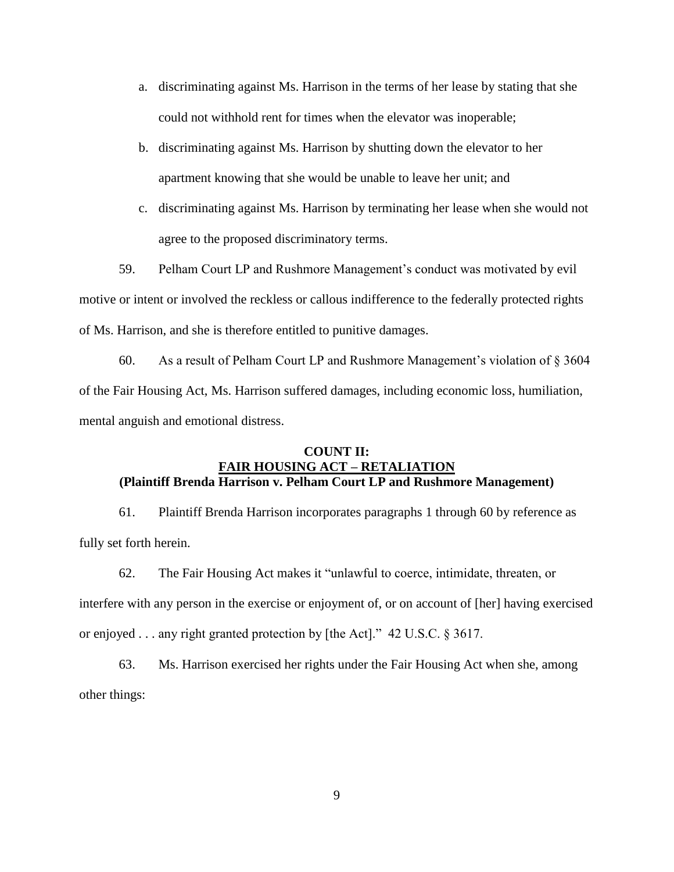- a. discriminating against Ms. Harrison in the terms of her lease by stating that she could not withhold rent for times when the elevator was inoperable;
- b. discriminating against Ms. Harrison by shutting down the elevator to her apartment knowing that she would be unable to leave her unit; and
- c. discriminating against Ms. Harrison by terminating her lease when she would not agree to the proposed discriminatory terms.

59. Pelham Court LP and Rushmore Management's conduct was motivated by evil motive or intent or involved the reckless or callous indifference to the federally protected rights of Ms. Harrison, and she is therefore entitled to punitive damages.

60. As a result of Pelham Court LP and Rushmore Management's violation of  $\S 3604$ of the Fair Housing Act, Ms. Harrison suffered damages, including economic loss, humiliation, mental anguish and emotional distress.

## **COUNT II: FAIR HOUSING ACT – RETALIATION (Plaintiff Brenda Harrison v. Pelham Court LP and Rushmore Management)**

61. Plaintiff Brenda Harrison incorporates paragraphs 1 through 60 by reference as fully set forth herein.

62. The Fair Housing Act makes it "unlawful to coerce, intimidate, threaten, or interfere with any person in the exercise or enjoyment of, or on account of [her] having exercised or enjoyed . . . any right granted protection by [the Act]." 42 U.S.C. § 3617.

63. Ms. Harrison exercised her rights under the Fair Housing Act when she, among other things: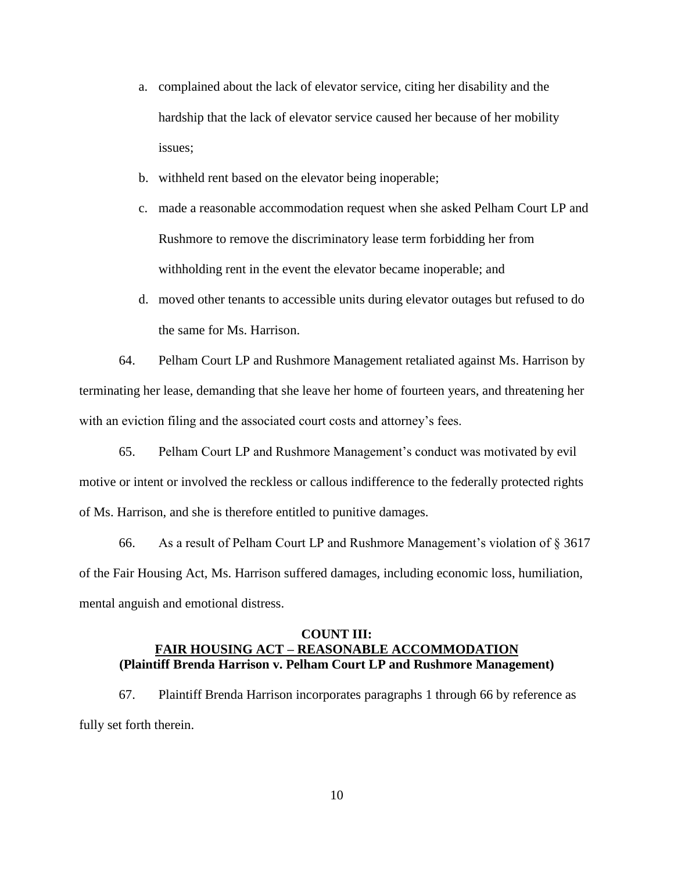- a. complained about the lack of elevator service, citing her disability and the hardship that the lack of elevator service caused her because of her mobility issues;
- b. withheld rent based on the elevator being inoperable;
- c. made a reasonable accommodation request when she asked Pelham Court LP and Rushmore to remove the discriminatory lease term forbidding her from withholding rent in the event the elevator became inoperable; and
- d. moved other tenants to accessible units during elevator outages but refused to do the same for Ms. Harrison.

64. Pelham Court LP and Rushmore Management retaliated against Ms. Harrison by terminating her lease, demanding that she leave her home of fourteen years, and threatening her with an eviction filing and the associated court costs and attorney's fees.

65. Pelham Court LP and Rushmore Management's conduct was motivated by evil motive or intent or involved the reckless or callous indifference to the federally protected rights of Ms. Harrison, and she is therefore entitled to punitive damages.

66. As a result of Pelham Court LP and Rushmore Management's violation of § 3617 of the Fair Housing Act, Ms. Harrison suffered damages, including economic loss, humiliation, mental anguish and emotional distress.

### **COUNT III: FAIR HOUSING ACT – REASONABLE ACCOMMODATION (Plaintiff Brenda Harrison v. Pelham Court LP and Rushmore Management)**

67. Plaintiff Brenda Harrison incorporates paragraphs 1 through 66 by reference as fully set forth therein.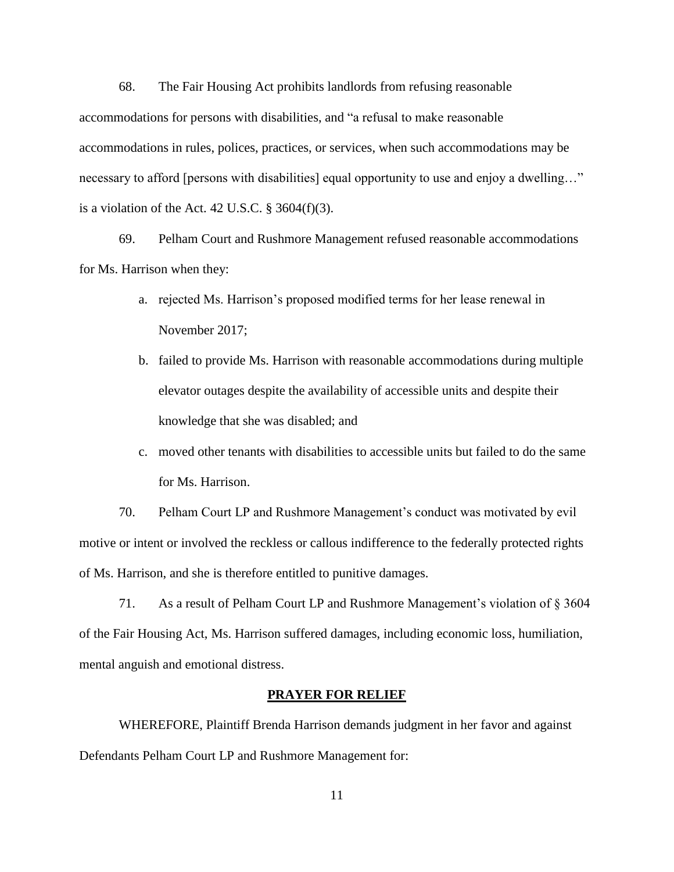68. The Fair Housing Act prohibits landlords from refusing reasonable accommodations for persons with disabilities, and "a refusal to make reasonable accommodations in rules, polices, practices, or services, when such accommodations may be necessary to afford [persons with disabilities] equal opportunity to use and enjoy a dwelling..." is a violation of the Act. 42 U.S.C.  $\S$  3604(f)(3).

69. Pelham Court and Rushmore Management refused reasonable accommodations for Ms. Harrison when they:

- a. rejected Ms. Harrison's proposed modified terms for her lease renewal in November 2017;
- b. failed to provide Ms. Harrison with reasonable accommodations during multiple elevator outages despite the availability of accessible units and despite their knowledge that she was disabled; and
- c. moved other tenants with disabilities to accessible units but failed to do the same for Ms. Harrison.

70. Pelham Court LP and Rushmore Management's conduct was motivated by evil motive or intent or involved the reckless or callous indifference to the federally protected rights of Ms. Harrison, and she is therefore entitled to punitive damages.

71. As a result of Pelham Court LP and Rushmore Management's violation of § 3604 of the Fair Housing Act, Ms. Harrison suffered damages, including economic loss, humiliation, mental anguish and emotional distress.

#### **PRAYER FOR RELIEF**

WHEREFORE, Plaintiff Brenda Harrison demands judgment in her favor and against Defendants Pelham Court LP and Rushmore Management for: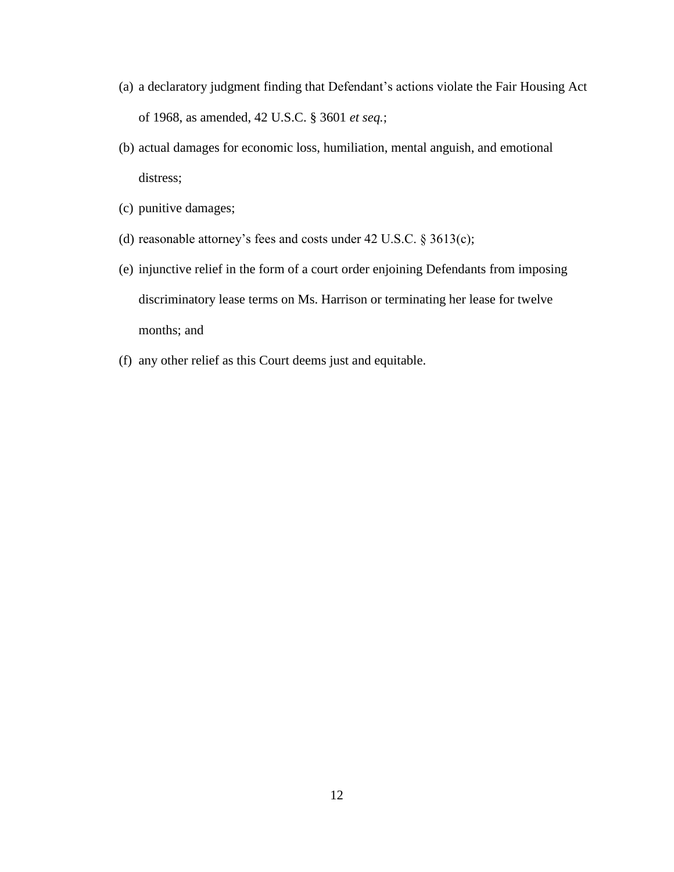- (a) a declaratory judgment finding that Defendant's actions violate the Fair Housing Act of 1968, as amended, 42 U.S.C. § 3601 *et seq.*;
- (b) actual damages for economic loss, humiliation, mental anguish, and emotional distress;
- (c) punitive damages;
- (d) reasonable attorney's fees and costs under 42 U.S.C. § 3613(c);
- (e) injunctive relief in the form of a court order enjoining Defendants from imposing discriminatory lease terms on Ms. Harrison or terminating her lease for twelve months; and
- (f) any other relief as this Court deems just and equitable.